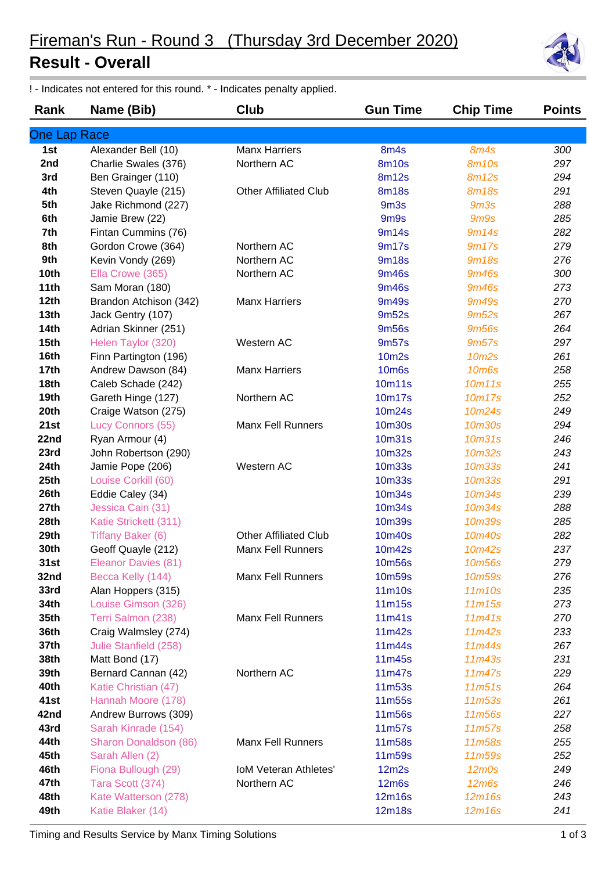## **Result - Overall**

! - Indicates not entered for this round. \* - Indicates penalty applied.

| Rank                | Name (Bib)             | Club                         | <b>Gun Time</b>               | <b>Chip Time</b>   | <b>Points</b> |
|---------------------|------------------------|------------------------------|-------------------------------|--------------------|---------------|
| <b>One Lap Race</b> |                        |                              |                               |                    |               |
| 1st                 | Alexander Bell (10)    | <b>Manx Harriers</b>         | 8m4s                          | 8m4s               | 300           |
| 2nd                 | Charlie Swales (376)   | Northern AC                  | <b>8m10s</b>                  | <b>8m10s</b>       | 297           |
| 3rd                 | Ben Grainger (110)     |                              | <b>8m12s</b>                  | <b>8m12s</b>       | 294           |
| 4th                 | Steven Quayle (215)    | <b>Other Affiliated Club</b> | <b>8m18s</b>                  | <b>8m18s</b>       | 291           |
| 5th                 | Jake Richmond (227)    |                              | 9m <sub>3s</sub>              | 9 <sub>m3s</sub>   | 288           |
| 6th                 | Jamie Brew (22)        |                              | 9 <sub>m</sub> 9 <sub>s</sub> | 9 <sub>m9s</sub>   | 285           |
| 7th                 | Fintan Cummins (76)    |                              | 9m14s                         | 9m14s              | 282           |
| 8th                 | Gordon Crowe (364)     | Northern AC                  | 9m17s                         | 9m17s              | 279           |
| 9th                 | Kevin Vondy (269)      | Northern AC                  | <b>9m18s</b>                  | <b>9m18s</b>       | 276           |
| 10th                | Ella Crowe (365)       | Northern AC                  | <b>9m46s</b>                  | <b>9m46s</b>       | 300           |
| 11th                | Sam Moran (180)        |                              | <b>9m46s</b>                  | <b>9m46s</b>       | 273           |
| 12th                | Brandon Atchison (342) | <b>Manx Harriers</b>         | 9m49s                         | <b>9m49s</b>       | 270           |
| 13 <sub>th</sub>    | Jack Gentry (107)      |                              | 9m <sub>52s</sub>             | 9m <sub>52s</sub>  | 267           |
| <b>14th</b>         | Adrian Skinner (251)   |                              | <b>9m56s</b>                  | <b>9m56s</b>       | 264           |
| 15 <sub>th</sub>    | Helen Taylor (320)     | Western AC                   | 9m57s                         | 9m57s              | 297           |
| 16th                | Finn Partington (196)  |                              | <b>10m2s</b>                  | 10m <sub>2s</sub>  | 261           |
| 17th                | Andrew Dawson (84)     | <b>Manx Harriers</b>         | <b>10m6s</b>                  | <b>10m6s</b>       | 258           |
| 18th                | Caleb Schade (242)     |                              | 10m11s                        | 10m11s             | 255           |
| 19th                | Gareth Hinge (127)     | Northern AC                  | <b>10m17s</b>                 | 10m17s             | 252           |
| 20th                | Craige Watson (275)    |                              | 10m24s                        | 10m24s             | 249           |
| 21st                | Lucy Connors (55)      | <b>Manx Fell Runners</b>     | <b>10m30s</b>                 | 10m30s             | 294           |
| 22nd                | Ryan Armour (4)        |                              | 10m31s                        | 10m31s             | 246           |
| 23rd                | John Robertson (290)   |                              | 10m32s                        | 10m32s             | 243           |
| 24th                | Jamie Pope (206)       | Western AC                   | <b>10m33s</b>                 | <b>10m33s</b>      | 241           |
| 25th                | Louise Corkill (60)    |                              | <b>10m33s</b>                 | <b>10m33s</b>      | 291           |
| 26th                | Eddie Caley (34)       |                              | 10m34s                        | 10m34s             | 239           |
| 27th                | Jessica Cain (31)      |                              | 10m34s                        | 10m34s             | 288           |
| 28th                | Katie Strickett (311)  |                              | <b>10m39s</b>                 | <b>10m39s</b>      | 285           |
| 29th                | Tiffany Baker (6)      | <b>Other Affiliated Club</b> | 10m40s                        | 10m40s             | 282           |
| 30th                | Geoff Quayle (212)     | <b>Manx Fell Runners</b>     | 10m42s                        | 10m42s             | 237           |
| 31st                | Eleanor Davies (81)    |                              | 10m56s                        | 10m56s             | 279           |
| 32nd                | Becca Kelly (144)      | <b>Manx Fell Runners</b>     | 10m59s                        | 10m <sub>59s</sub> | 276           |
| 33rd                | Alan Hoppers (315)     |                              | 11m10s                        | 11m10s             | 235           |
| 34th                | Louise Gimson (326)    |                              | 11m15s                        | 11m15s             | 273           |
| 35th                | Terri Salmon (238)     | <b>Manx Fell Runners</b>     | 11m41s                        | 11m41s             | 270           |
| 36th                | Craig Walmsley (274)   |                              | 11m42s                        | 11m42s             | 233           |
| 37th                | Julie Stanfield (258)  |                              | 11m44s                        | 11m44s             | 267           |
| 38th                | Matt Bond (17)         |                              | 11m45s                        | 11m43s             | 231           |
| 39th                | Bernard Cannan (42)    | Northern AC                  | 11m47s                        | 11m47s             | 229           |
| 40th                | Katie Christian (47)   |                              | 11m53s                        | 11m51s             | 264           |
| 41st                | Hannah Moore (178)     |                              | 11m55s                        | 11m53s             | 261           |
| 42nd                | Andrew Burrows (309)   |                              | 11m56s                        | 11m56s             | 227           |
| 43rd                | Sarah Kinrade (154)    |                              | 11m57s                        | 11m57s             | 258           |
| 44th                | Sharon Donaldson (86)  | Manx Fell Runners            | 11m58s                        | 11m58s             | 255           |
| 45th                | Sarah Allen (2)        |                              | 11m59s                        | 11m59s             | 252           |
| 46th                | Fiona Bullough (29)    | <b>IoM Veteran Athletes'</b> | 12m2s                         | $12m$ Os           | 249           |
| 47th                | Tara Scott (374)       | Northern AC                  | <b>12m6s</b>                  | $12m$ 6s           | 246           |
| 48th                | Kate Watterson (278)   |                              | 12m16s                        | 12m16s             | 243           |
| 49th                | Katie Blaker (14)      |                              | 12m18s                        | 12m16s             | 241           |

Timing and Results Service by Manx Timing Solutions 1 of 3

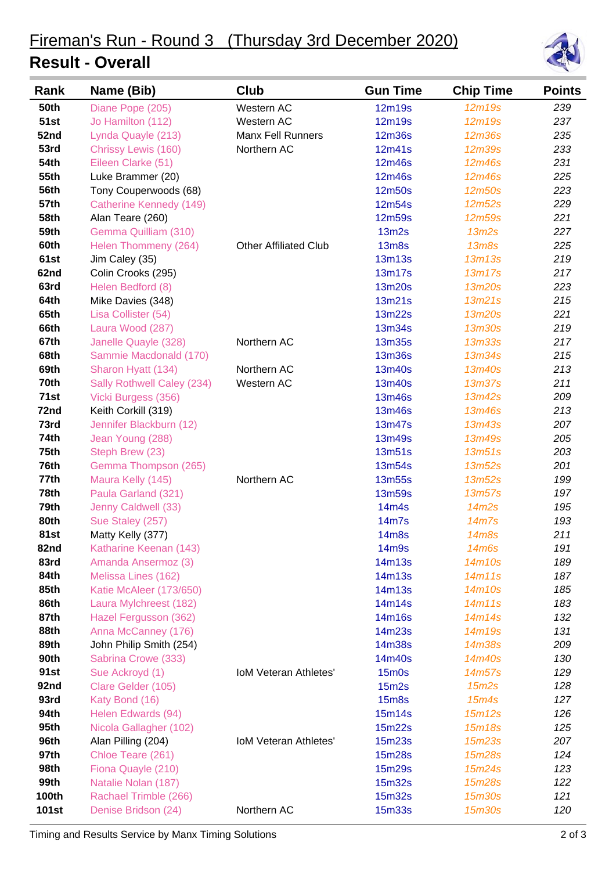## **Result - Overall**



| Rank         | Name (Bib)                 | Club                         | <b>Gun Time</b> | <b>Chip Time</b> | <b>Points</b> |
|--------------|----------------------------|------------------------------|-----------------|------------------|---------------|
| <b>50th</b>  | Diane Pope (205)           | Western AC                   | 12m19s          | 12m19s           | 239           |
| <b>51st</b>  | Jo Hamilton (112)          | Western AC                   | 12m19s          | 12m19s           | 237           |
| 52nd         | Lynda Quayle (213)         | <b>Manx Fell Runners</b>     | <b>12m36s</b>   | 12m36s           | 235           |
| 53rd         | Chrissy Lewis (160)        | Northern AC                  | 12m41s          | <b>12m39s</b>    | 233           |
| <b>54th</b>  | Eileen Clarke (51)         |                              | 12m46s          | 12m46s           | 231           |
| <b>55th</b>  | Luke Brammer (20)          |                              | 12m46s          | 12m46s           | 225           |
| <b>56th</b>  | Tony Couperwoods (68)      |                              | 12m50s          | 12m50s           | 223           |
| <b>57th</b>  | Catherine Kennedy (149)    |                              | 12m54s          | 12m52s           | 229           |
| 58th         | Alan Teare (260)           |                              | 12m59s          | 12m59s           | 221           |
| 59th         | Gemma Quilliam (310)       |                              | 13m2s           | 13m2s            | 227           |
| 60th         | Helen Thommeny (264)       | <b>Other Affiliated Club</b> | <b>13m8s</b>    | <b>13m8s</b>     | 225           |
| 61st         | Jim Caley (35)             |                              | <b>13m13s</b>   | 13m13s           | 219           |
| 62nd         | Colin Crooks (295)         |                              | 13m17s          | 13m17s           | 217           |
| 63rd         | Helen Bedford (8)          |                              | 13m20s          | 13m20s           | 223           |
| 64th         | Mike Davies (348)          |                              | 13m21s          | 13m21s           | 215           |
| 65th         | Lisa Collister (54)        |                              | 13m22s          | 13m20s           | 221           |
| 66th         | Laura Wood (287)           |                              | 13m34s          | <b>13m30s</b>    | 219           |
| 67th         | Janelle Quayle (328)       | Northern AC                  | <b>13m35s</b>   | <b>13m33s</b>    | 217           |
| 68th         | Sammie Macdonald (170)     |                              | <b>13m36s</b>   | 13m34s           | 215           |
| 69th         | Sharon Hyatt (134)         | Northern AC                  | 13m40s          | 13m40s           | 213           |
| 70th         | Sally Rothwell Caley (234) | Western AC                   | 13m40s          | <b>13m37s</b>    | 211           |
| 71st         | Vicki Burgess (356)        |                              | 13m46s          | 13m42s           | 209           |
| 72nd         | Keith Corkill (319)        |                              | 13m46s          | 13m46s           | 213           |
| 73rd         | Jennifer Blackburn (12)    |                              | 13m47s          | 13m43s           | 207           |
| 74th         | Jean Young (288)           |                              | 13m49s          | 13m49s           | 205           |
| 75th         | Steph Brew (23)            |                              | 13m51s          | 13m51s           | 203           |
| 76th         | Gemma Thompson (265)       |                              | 13m54s          | 13m52s           | 201           |
| 77th         | Maura Kelly (145)          | Northern AC                  | 13m55s          | 13m52s           | 199           |
| 78th         | Paula Garland (321)        |                              | <b>13m59s</b>   | 13m57s           | 197           |
| 79th         | Jenny Caldwell (33)        |                              | 14m4s           | 14m2s            | 195           |
| 80th         | Sue Staley (257)           |                              | 14m7s           | 14m7s            | 193           |
| 81st         | Matty Kelly (377)          |                              | <b>14m8s</b>    | 14m8s            | 211           |
| 82nd         | Katharine Keenan (143)     |                              | 14m9s           | <b>14m6s</b>     | 191           |
| 83rd         | Amanda Ansermoz (3)        |                              | 14m13s          | 14m10s           | 189           |
| 84th         | Melissa Lines (162)        |                              | 14m13s          | 14m11s           | 187           |
| 85th         | Katie McAleer (173/650)    |                              | 14m13s          | 14m10s           | 185           |
| 86th         | Laura Mylchreest (182)     |                              | 14m14s          | 14m11s           | 183           |
| 87th         | Hazel Fergusson (362)      |                              | 14m16s          | 14m14s           | 132           |
| 88th         | Anna McCanney (176)        |                              | 14m23s          | 14m19s           | 131           |
| 89th         | John Philip Smith (254)    |                              | 14m38s          | 14m38s           | 209           |
| 90th         | Sabrina Crowe (333)        |                              | 14m40s          | 14m40s           | 130           |
| 91st         | Sue Ackroyd (1)            | <b>IoM Veteran Athletes'</b> | $15m$ Os        | 14m57s           | 129           |
| 92nd         | Clare Gelder (105)         |                              | 15m2s           | 15m2s            | 128           |
| 93rd         | Katy Bond (16)             |                              | <b>15m8s</b>    | 15m4s            | 127           |
| 94th         | Helen Edwards (94)         |                              | 15m14s          | 15m12s           | 126           |
| 95th         | Nicola Gallagher (102)     |                              | 15m22s          | 15m18s           | 125           |
| 96th         | Alan Pilling (204)         | <b>IoM Veteran Athletes'</b> | 15m23s          | 15m23s           | 207           |
| 97th         | Chloe Teare (261)          |                              | 15m28s          | 15m28s           | 124           |
| 98th         | Fiona Quayle (210)         |                              | 15m29s          | 15m24s           | 123           |
| 99th         | Natalie Nolan (187)        |                              | 15m32s          | 15m28s           | 122           |
| <b>100th</b> | Rachael Trimble (266)      |                              | 15m32s          | 15m30s           | 121           |
| <b>101st</b> | Denise Bridson (24)        | Northern AC                  | 15m33s          | 15m30s           | 120           |